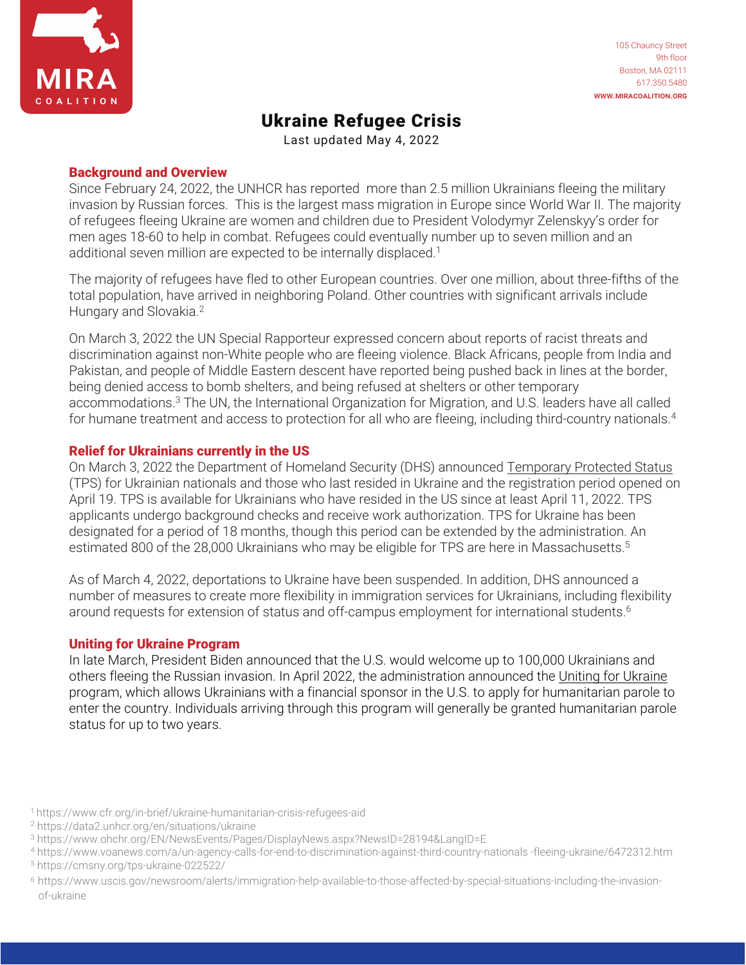

# Ukraine Refugee Crisis

Last updated May 4, 2022

### Background and Overview

Since February 24, 2022, the UNHCR has reported more than 2.5 million Ukrainians fleeing the military invasion by Russian forces. This is the largest mass migration in Europe since World War II. The majority of refugees fleeing Ukraine are women and children due to President Volodymyr Zelenskyy's order for men ages 18-60 to help in combat. Refugees could eventually number up to seven million and an additional seven million are expected to be internally displaced.<sup>1</sup>

The majority of refugees have fled to other European countries. Over one million, about three-fifths of the total population, have arrived in neighboring Poland. Other countries with significant arrivals include Hungary and Slovakia.<sup>2</sup>

On March 3, 2022 the UN Special Rapporteur expressed concern about reports of racist threats and discrimination against non-White people who are fleeing violence. Black Africans, people from India and Pakistan, and people of Middle Eastern descent have reported being pushed back in lines at the border, being denied access to bomb shelters, and being refused at shelters or other temporary accommodations.<sup>3</sup> The UN, the International Organization for Migration, and U.S. leaders have all called for humane treatment and access to protection for all who are fleeing, including third-country nationals.<sup>4</sup>

## Relief for Ukrainians currently in the US

On March 3, 2022 the Department of Homeland Security (DHS) announced [Temporary Protected Status](https://www.miracoalition.org/our-work/temporary-protected-status/) (TPS) for Ukrainian nationals and those who last resided in Ukraine and the registration period opened on April 19. TPS is available for Ukrainians who have resided in the US since at least April 11, 2022. TPS applicants undergo background checks and receive work authorization. TPS for Ukraine has been designated for a period of 18 months, though this period can be extended by the administration. An estimated 800 of the 28,000 Ukrainians who may be eligible for TPS are here in Massachusetts.<sup>5</sup>

As of March 4, 2022, deportations to Ukraine have been suspended. In addition, DHS announced a number of measures to create more flexibility in immigration services for Ukrainians, including flexibility around requests for extension of status and off-campus employment for international students.<sup>6</sup>

#### Uniting for Ukraine Program

In late March, President Biden announced that the U.S. would welcome up to 100,000 Ukrainians and [others fleeing the Russian invasion. In April 2022, the administration announced the Uniting for Ukraine](https://www.uscis.gov/humanitarian/uniting-for-ukraine)  program, which allows Ukrainians with a financial sponsor in the U.S. to apply for humanitarian parole to enter the country. Individuals arriving through this program will generally be granted humanitarian parole status for up to two years.

<sup>1</sup> https://www.cfr.org/in-brief/ukraine-humanitarian-crisis-refugees-aid

<sup>2</sup> https://data2.unhcr.org/en/situations/ukraine

<sup>3</sup> https://www.ohchr.org/EN/NewsEvents/Pages/DisplayNews.aspx?NewsID=28194&LangID=E

<sup>4</sup> https://www.voanews.com/a/un-agency-calls-for-end-to-discrimination-against-third-country-nationals -fleeing-ukraine/6472312.htm 5 https://cmsny.org/tps-ukraine-022522/

<sup>6</sup> https://www.uscis.gov/newsroom/alerts/immigration-help-available-to-those-affected-by-special-situations-including-the-invasionof-ukraine